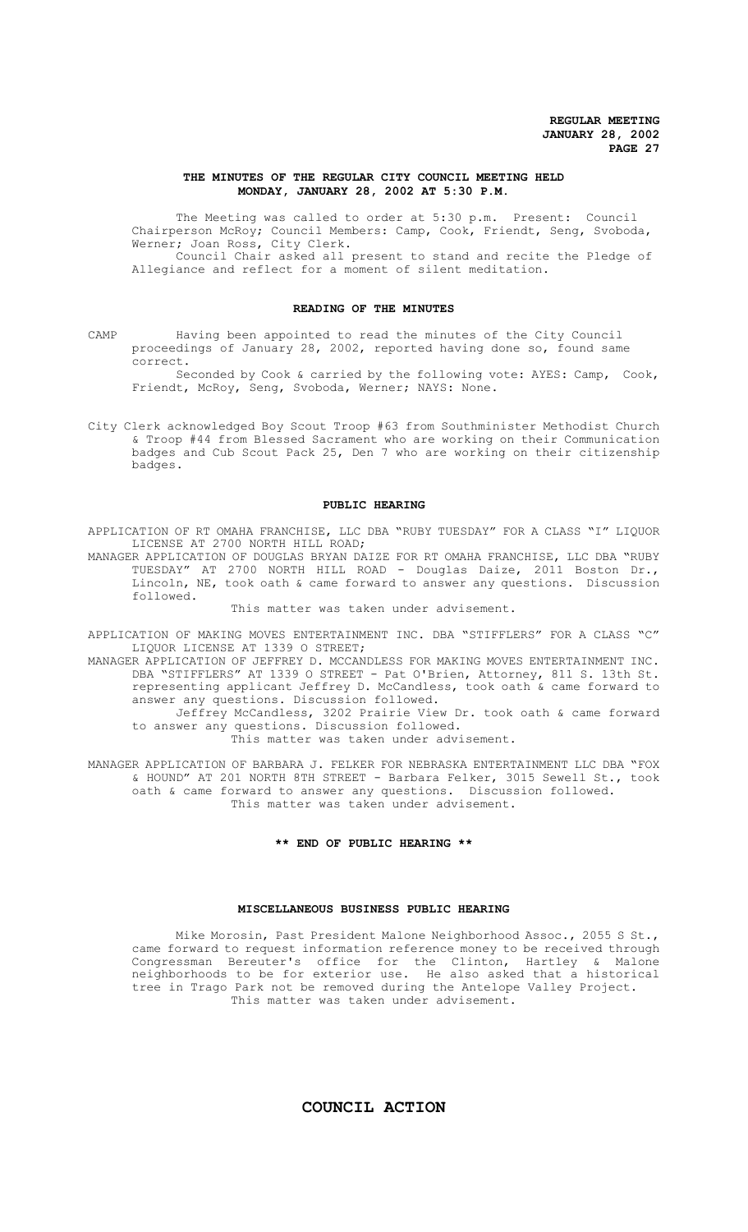## **THE MINUTES OF THE REGULAR CITY COUNCIL MEETING HELD MONDAY, JANUARY 28, 2002 AT 5:30 P.M.**

The Meeting was called to order at 5:30 p.m. Present: Council Chairperson McRoy; Council Members: Camp, Cook, Friendt, Seng, Svoboda, Werner; Joan Ross, City Clerk.

Council Chair asked all present to stand and recite the Pledge of Allegiance and reflect for a moment of silent meditation.

#### **READING OF THE MINUTES**

CAMP Having been appointed to read the minutes of the City Council proceedings of January 28, 2002, reported having done so, found same correct.

Seconded by Cook & carried by the following vote: AYES: Camp, Cook, Friendt, McRoy, Seng, Svoboda, Werner; NAYS: None.

City Clerk acknowledged Boy Scout Troop #63 from Southminister Methodist Church & Troop #44 from Blessed Sacrament who are working on their Communication badges and Cub Scout Pack 25, Den 7 who are working on their citizenship badges.

#### **PUBLIC HEARING**

APPLICATION OF RT OMAHA FRANCHISE, LLC DBA "RUBY TUESDAY" FOR A CLASS "I" LIQUOR LICENSE AT 2700 NORTH HILL ROAD;

MANAGER APPLICATION OF DOUGLAS BRYAN DAIZE FOR RT OMAHA FRANCHISE, LLC DBA "RUBY TUESDAY" AT 2700 NORTH HILL ROAD - Douglas Daize, 2011 Boston Dr., Lincoln, NE, took oath & came forward to answer any questions. Discussion followed.

This matter was taken under advisement.

APPLICATION OF MAKING MOVES ENTERTAINMENT INC. DBA "STIFFLERS" FOR A CLASS "C" LIQUOR LICENSE AT 1339 O STREET;

MANAGER APPLICATION OF JEFFREY D. MCCANDLESS FOR MAKING MOVES ENTERTAINMENT INC. DBA "STIFFLERS" AT 1339 O STREET - Pat O'Brien, Attorney, 811 S. 13th St. representing applicant Jeffrey D. McCandless, took oath & came forward to answer any questions. Discussion followed.

Jeffrey McCandless, 3202 Prairie View Dr. took oath & came forward to answer any questions. Discussion followed.

This matter was taken under advisement.

MANAGER APPLICATION OF BARBARA J. FELKER FOR NEBRASKA ENTERTAINMENT LLC DBA "FOX & HOUND" AT 201 NORTH 8TH STREET - Barbara Felker, 3015 Sewell St., took oath & came forward to answer any questions. Discussion followed. This matter was taken under advisement.

## **\*\* END OF PUBLIC HEARING \*\***

## **MISCELLANEOUS BUSINESS PUBLIC HEARING**

Mike Morosin, Past President Malone Neighborhood Assoc., 2055 S St., came forward to request information reference money to be received through Congressman Bereuter's office for the Clinton, Hartley & Malone neighborhoods to be for exterior use. He also asked that a historical tree in Trago Park not be removed during the Antelope Valley Project. This matter was taken under advisement.

# **COUNCIL ACTION**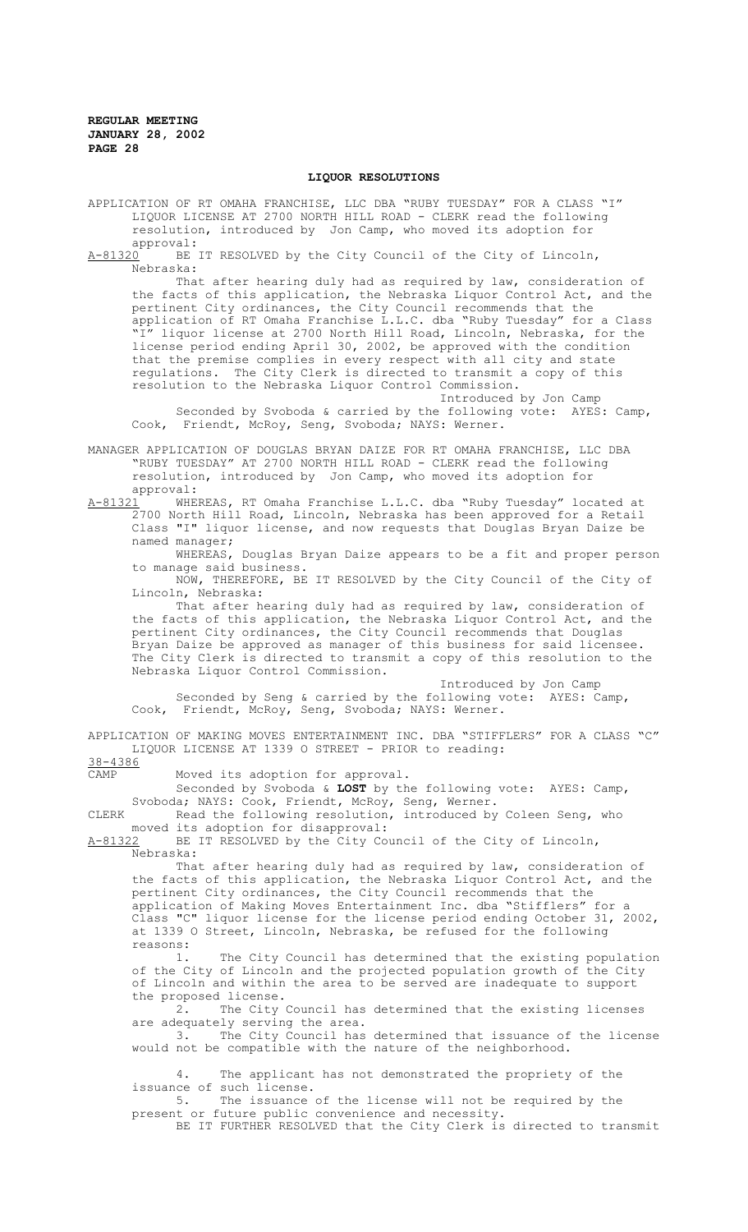#### **LIQUOR RESOLUTIONS**

APPLICATION OF RT OMAHA FRANCHISE, LLC DBA "RUBY TUESDAY" FOR A CLASS "I" LIQUOR LICENSE AT 2700 NORTH HILL ROAD - CLERK read the following resolution, introduced by Jon Camp, who moved its adoption for

approval:<br>A-81320 BE BE IT RESOLVED by the City Council of the City of Lincoln, Nebraska:

That after hearing duly had as required by law, consideration of the facts of this application, the Nebraska Liquor Control Act, and the pertinent City ordinances, the City Council recommends that the application of RT Omaha Franchise L.L.C. dba "Ruby Tuesday" for a Class .<br>" liquor license at 2700 North Hill Road, Lincoln, Nebraska, for the license period ending April 30, 2002, be approved with the condition that the premise complies in every respect with all city and state regulations. The City Clerk is directed to transmit a copy of this resolution to the Nebraska Liquor Control Commission.

Introduced by Jon Camp Seconded by Svoboda & carried by the following vote: AYES: Camp, Cook, Friendt, McRoy, Seng, Svoboda; NAYS: Werner.

MANAGER APPLICATION OF DOUGLAS BRYAN DAIZE FOR RT OMAHA FRANCHISE, LLC DBA "RUBY TUESDAY" AT 2700 NORTH HILL ROAD - CLERK read the following resolution, introduced by Jon Camp, who moved its adoption for approval:<br>A-<u>81321</u> WHEI

A-81321 MHEREAS, RT Omaha Franchise L.L.C. dba "Ruby Tuesday" located at 2700 North Hill Road, Lincoln, Nebraska has been approved for a Retail Class "I" liquor license, and now requests that Douglas Bryan Daize be named manager;

WHEREAS, Douglas Bryan Daize appears to be a fit and proper person to manage said business.

NOW, THEREFORE, BE IT RESOLVED by the City Council of the City of Lincoln, Nebraska:

That after hearing duly had as required by law, consideration of the facts of this application, the Nebraska Liquor Control Act, and the pertinent City ordinances, the City Council recommends that Douglas Bryan Daize be approved as manager of this business for said licensee. The City Clerk is directed to transmit a copy of this resolution to the Nebraska Liquor Control Commission.

Introduced by Jon Camp Seconded by Seng & carried by the following vote: AYES: Camp, Cook, Friendt, McRoy, Seng, Svoboda; NAYS: Werner.

APPLICATION OF MAKING MOVES ENTERTAINMENT INC. DBA "STIFFLERS" FOR A CLASS "C" LIQUOR LICENSE AT 1339 O STREET - PRIOR to reading:

38-4386

CAMP Moved its adoption for approval.

Seconded by Svoboda & **LOST** by the following vote: AYES: Camp, Svoboda; NAYS: Cook, Friendt, McRoy, Seng, Werner.

CLERK Read the following resolution, introduced by Coleen Seng, who moved its adoption for disapproval:<br>A-81322 BE IT RESOLVED by the City Co

BE IT RESOLVED by the City Council of the City of Lincoln, Nebraska:

That after hearing duly had as required by law, consideration of the facts of this application, the Nebraska Liquor Control Act, and the pertinent City ordinances, the City Council recommends that the application of Making Moves Entertainment Inc. dba "Stifflers" for a Class "C" liquor license for the license period ending October 31, 2002, at 1339 O Street, Lincoln, Nebraska, be refused for the following reasons:

1. The City Council has determined that the existing population of the City of Lincoln and the projected population growth of the City of Lincoln and within the area to be served are inadequate to support the proposed license.

2. The City Council has determined that the existing licenses are adequately serving the area.

3. The City Council has determined that issuance of the license would not be compatible with the nature of the neighborhood.

4. The applicant has not demonstrated the propriety of the issuance of such license.

5. The issuance of the license will not be required by the present or future public convenience and necessity.

BE IT FURTHER RESOLVED that the City Clerk is directed to transmit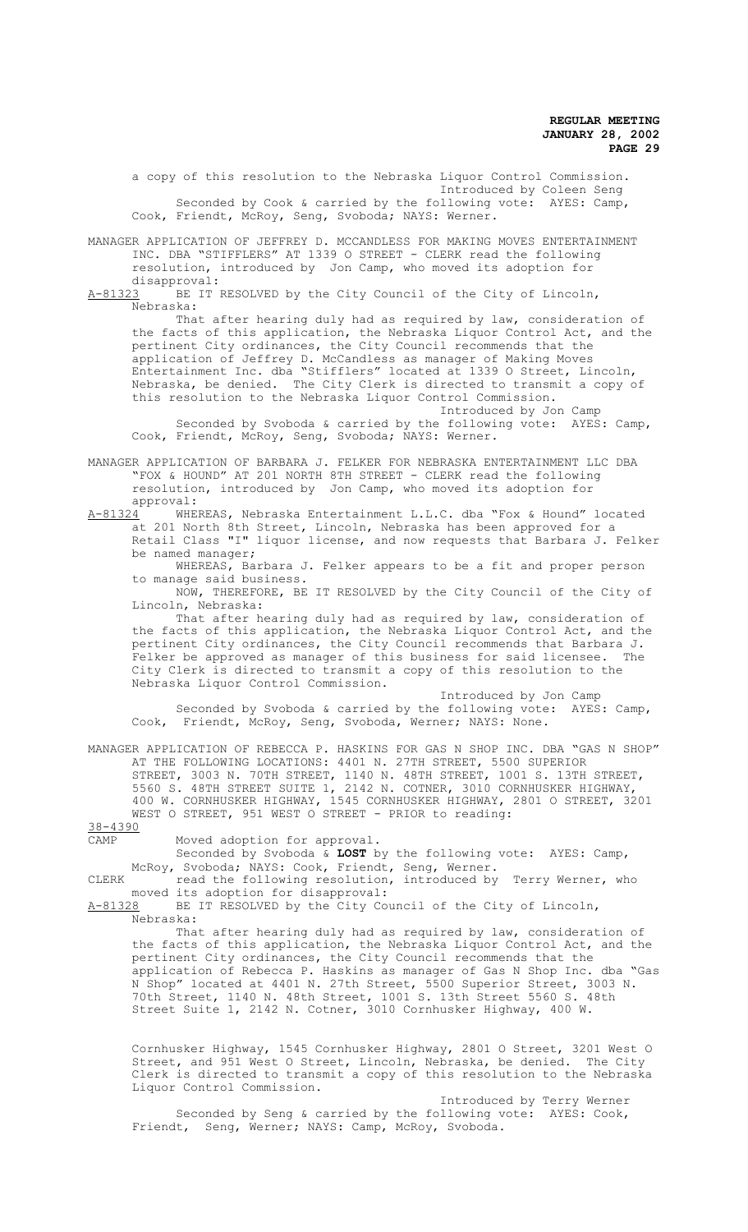a copy of this resolution to the Nebraska Liquor Control Commission. Introduced by Coleen Seng Seconded by Cook & carried by the following vote: AYES: Camp, Cook, Friendt, McRoy, Seng, Svoboda; NAYS: Werner.

MANAGER APPLICATION OF JEFFREY D. MCCANDLESS FOR MAKING MOVES ENTERTAINMENT INC. DBA "STIFFLERS" AT 1339 O STREET - CLERK read the following resolution, introduced by Jon Camp, who moved its adoption for

disapproval:<br>A-81323 BE IT I BE IT RESOLVED by the City Council of the City of Lincoln, Nebraska:

That after hearing duly had as required by law, consideration of the facts of this application, the Nebraska Liquor Control Act, and the pertinent City ordinances, the City Council recommends that the application of Jeffrey D. McCandless as manager of Making Moves Entertainment Inc. dba "Stifflers" located at 1339 O Street, Lincoln, Nebraska, be denied. The City Clerk is directed to transmit a copy of this resolution to the Nebraska Liquor Control Commission.

Introduced by Jon Camp

Seconded by Svoboda & carried by the following vote: AYES: Camp, Cook, Friendt, McRoy, Seng, Svoboda; NAYS: Werner.

MANAGER APPLICATION OF BARBARA J. FELKER FOR NEBRASKA ENTERTAINMENT LLC DBA "FOX & HOUND" AT 201 NORTH 8TH STREET - CLERK read the following resolution, introduced by Jon Camp, who moved its adoption for

approval:<br><u>A-81324</u> WHE WHEREAS, Nebraska Entertainment L.L.C. dba "Fox & Hound" located at 201 North 8th Street, Lincoln, Nebraska has been approved for a Retail Class "I" liquor license, and now requests that Barbara J. Felker be named manager;

WHEREAS, Barbara J. Felker appears to be a fit and proper person to manage said business.

NOW, THEREFORE, BE IT RESOLVED by the City Council of the City of Lincoln, Nebraska:

That after hearing duly had as required by law, consideration of the facts of this application, the Nebraska Liquor Control Act, and the pertinent City ordinances, the City Council recommends that Barbara J.<br>Felker be approved as manager of this business for said licensee. The Felker be approved as manager of this business for said licensee. City Clerk is directed to transmit a copy of this resolution to the Nebraska Liquor Control Commission.

Introduced by Jon Camp Seconded by Svoboda & carried by the following vote: AYES: Camp, Cook, Friendt, McRoy, Seng, Svoboda, Werner; NAYS: None.

MANAGER APPLICATION OF REBECCA P. HASKINS FOR GAS N SHOP INC. DBA "GAS N SHOP" AT THE FOLLOWING LOCATIONS: 4401 N. 27TH STREET, 5500 SUPERIOR STREET, 3003 N. 70TH STREET, 1140 N. 48TH STREET, 1001 S. 13TH STREET, 5560 S. 48TH STREET SUITE 1, 2142 N. COTNER, 3010 CORNHUSKER HIGHWAY, 400 W. CORNHUSKER HIGHWAY, 1545 CORNHUSKER HIGHWAY, 2801 O STREET, 3201 WEST O STREET, 951 WEST O STREET - PRIOR to reading:

38-4390

CAMP Moved adoption for approval.

Seconded by Svoboda & **LOST** by the following vote: AYES: Camp, McRoy, Svoboda; NAYS: Cook, Friendt, Seng, Werner.

CLERK read the following resolution, introduced by Terry Werner, who moved its adoption for disapproval:

A-81328 BE IT RESOLVED by the City Council of the City of Lincoln, Nebraska:

That after hearing duly had as required by law, consideration of the facts of this application, the Nebraska Liquor Control Act, and the pertinent City ordinances, the City Council recommends that the application of Rebecca P. Haskins as manager of Gas N Shop Inc. dba "Gas N Shop" located at 4401 N. 27th Street, 5500 Superior Street, 3003 N. 70th Street, 1140 N. 48th Street, 1001 S. 13th Street 5560 S. 48th Street Suite 1, 2142 N. Cotner, 3010 Cornhusker Highway, 400 W.

Cornhusker Highway, 1545 Cornhusker Highway, 2801 O Street, 3201 West O Street, and 951 West O Street, Lincoln, Nebraska, be denied. The City Clerk is directed to transmit a copy of this resolution to the Nebraska Liquor Control Commission.

Introduced by Terry Werner Seconded by Seng & carried by the following vote: AYES: Cook, Friendt, Seng, Werner; NAYS: Camp, McRoy, Svoboda.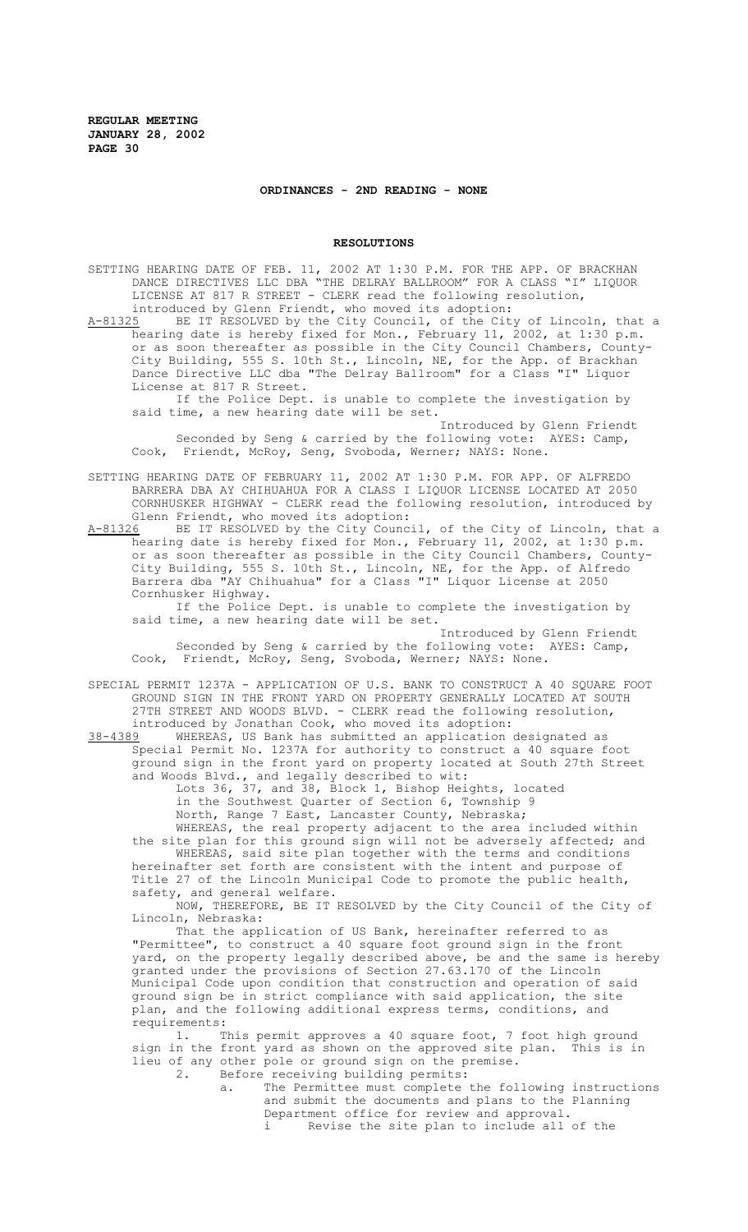#### **ORDINANCES - 2ND READING - NONE**

#### **RESOLUTIONS**

SETTING HEARING DATE OF FEB. 11, 2002 AT 1:30 P.M. FOR THE APP. OF BRACKHAN DANCE DIRECTIVES LLC DBA "THE DELRAY BALLROOM" FOR A CLASS "I" LIQUOR LICENSE AT 817 R STREET - CLERK read the following resolution, introduced by Glenn Friendt, who moved its adoption:

A-81325 BE IT RESOLVED by the City Council, of the City of Lincoln, that a hearing date is hereby fixed for Mon., February 11, 2002, at 1:30 p.m. or as soon thereafter as possible in the City Council Chambers, County-City Building, 555 S. 10th St., Lincoln, NE, for the App. of Brackhan Dance Directive LLC dba "The Delray Ballroom" for a Class "I" Liquor License at 817 R Street.

If the Police Dept. is unable to complete the investigation by said time, a new hearing date will be set.

Introduced by Glenn Friendt Seconded by Seng & carried by the following vote: AYES: Camp, Cook, Friendt, McRoy, Seng, Svoboda, Werner; NAYS: None.

SETTING HEARING DATE OF FEBRUARY 11, 2002 AT 1:30 P.M. FOR APP. OF ALFREDO BARRERA DBA AY CHIHUAHUA FOR A CLASS I LIQUOR LICENSE LOCATED AT 2050 CORNHUSKER HIGHWAY - CLERK read the following resolution, introduced by Glenn Friendt, who moved its adoption:

A-81326 BE IT RESOLVED by the City Council, of the City of Lincoln, that a hearing date is hereby fixed for Mon., February 11, 2002, at 1:30 p.m. or as soon thereafter as possible in the City Council Chambers, County-City Building, 555 S. 10th St., Lincoln, NE, for the App. of Alfredo Barrera dba "AY Chihuahua" for a Class "I" Liquor License at 2050 Cornhusker Highway.

If the Police Dept. is unable to complete the investigation by said time, a new hearing date will be set.

Introduced by Glenn Friendt Seconded by Seng & carried by the following vote: AYES: Camp, Cook, Friendt, McRoy, Seng, Svoboda, Werner; NAYS: None.

SPECIAL PERMIT 1237A - APPLICATION OF U.S. BANK TO CONSTRUCT A 40 SQUARE FOOT GROUND SIGN IN THE FRONT YARD ON PROPERTY GENERALLY LOCATED AT SOUTH 27TH STREET AND WOODS BLVD. - CLERK read the following resolution, introduced by Jonathan Cook, who moved its adoption:

38-4389 WHEREAS, US Bank has submitted an application designated as Special Permit No. 1237A for authority to construct a 40 square foot ground sign in the front yard on property located at South 27th Street and Woods Blvd., and legally described to wit:

Lots 36, 37, and 38, Block 1, Bishop Heights, located in the Southwest Quarter of Section 6, Township 9 North, Range 7 East, Lancaster County, Nebraska;

WHEREAS, the real property adjacent to the area included within the site plan for this ground sign will not be adversely affected; and

WHEREAS, said site plan together with the terms and conditions hereinafter set forth are consistent with the intent and purpose of Title 27 of the Lincoln Municipal Code to promote the public health, safety, and general welfare.

NOW, THEREFORE, BE IT RESOLVED by the City Council of the City of Lincoln, Nebraska:

That the application of US Bank, hereinafter referred to as "Permittee", to construct a 40 square foot ground sign in the front yard, on the property legally described above, be and the same is hereby granted under the provisions of Section 27.63.170 of the Lincoln Municipal Code upon condition that construction and operation of said ground sign be in strict compliance with said application, the site plan, and the following additional express terms, conditions, and requirements:

1. This permit approves a 40 square foot, 7 foot high ground sign in the front yard as shown on the approved site plan. This is in lieu of any other pole or ground sign on the premise.<br>2. Before receiving building permits: Before receiving building permits:

a. The Permittee must complete the following instructions and submit the documents and plans to the Planning Department office for review and approval.<br>i Revise the site plan to include all Revise the site plan to include all of the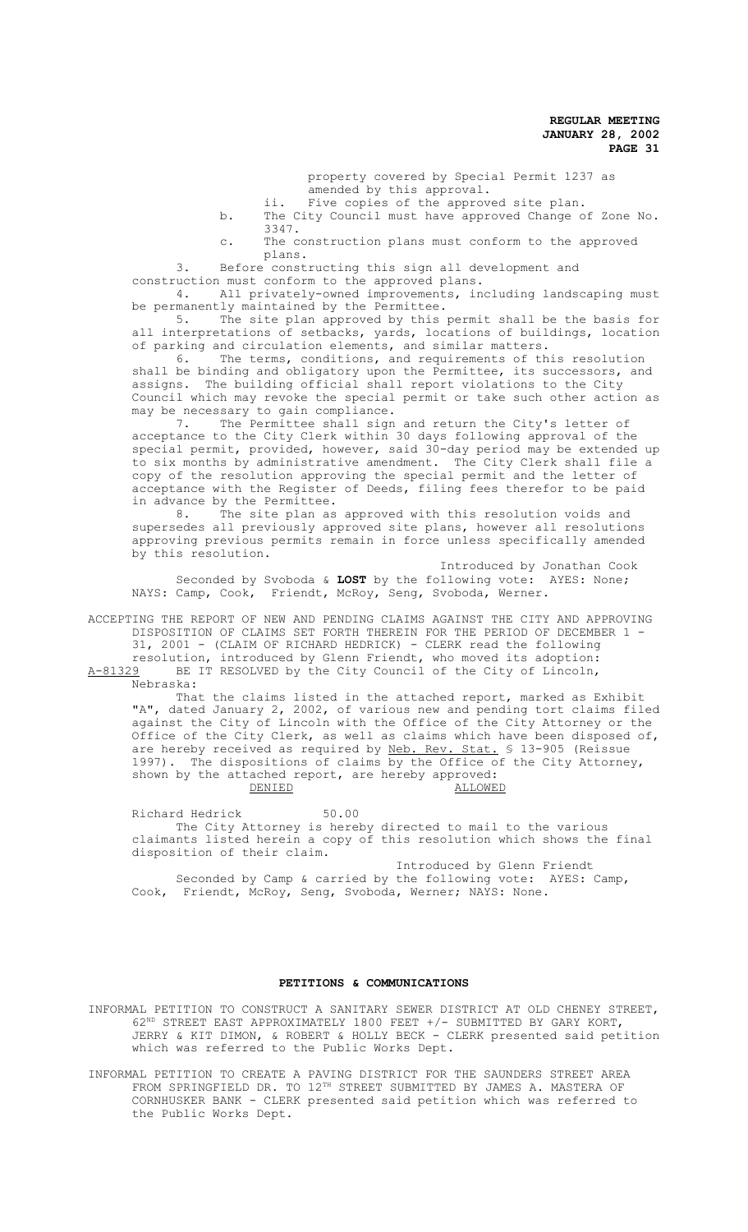property covered by Special Permit 1237 as amended by this approval.

- ii. Five copies of the approved site plan.
- b. The City Council must have approved Change of Zone No. 3347.
- c. The construction plans must conform to the approved plans.

3. Before constructing this sign all development and construction must conform to the approved plans.

4. All privately-owned improvements, including landscaping must be permanently maintained by the Permittee.<br>5. The site plan approved by this

The site plan approved by this permit shall be the basis for all interpretations of setbacks, yards, locations of buildings, location of parking and circulation elements, and similar matters.

6. The terms, conditions, and requirements of this resolution shall be binding and obligatory upon the Permittee, its successors, and assigns. The building official shall report violations to the City Council which may revoke the special permit or take such other action as may be necessary to gain compliance.

7. The Permittee shall sign and return the City's letter of acceptance to the City Clerk within 30 days following approval of the special permit, provided, however, said 30-day period may be extended up to six months by administrative amendment. The City Clerk shall file a copy of the resolution approving the special permit and the letter of acceptance with the Register of Deeds, filing fees therefor to be paid in advance by the Permittee.

8. The site plan as approved with this resolution voids and supersedes all previously approved site plans, however all resolutions approving previous permits remain in force unless specifically amended by this resolution.

Introduced by Jonathan Cook Seconded by Svoboda & **LOST** by the following vote: AYES: None; NAYS: Camp, Cook, Friendt, McRoy, Seng, Svoboda, Werner.

ACCEPTING THE REPORT OF NEW AND PENDING CLAIMS AGAINST THE CITY AND APPROVING DISPOSITION OF CLAIMS SET FORTH THEREIN FOR THE PERIOD OF DECEMBER 1 - 31, 2001 - (CLAIM OF RICHARD HEDRICK) - CLERK read the following resolution, introduced by Glenn Friendt, who moved its adoption: A-81329 BE IT RESOLVED by the City Council of the City of Lincoln,

Nebraska:

That the claims listed in the attached report, marked as Exhibit "A", dated January 2, 2002, of various new and pending tort claims filed against the City of Lincoln with the Office of the City Attorney or the Office of the City Clerk, as well as claims which have been disposed of, are hereby received as required by Neb. Rev. Stat. \$ 13-905 (Reissue 1997). The dispositions of claims by the Office of the City Attorney, shown by the attached report, are hereby approved: DENIED ALLOWED

Richard Hedrick 50.00 The City Attorney is hereby directed to mail to the various claimants listed herein a copy of this resolution which shows the final disposition of their claim.

 Introduced by Glenn Friendt Seconded by Camp & carried by the following vote: AYES: Camp, Cook, Friendt, McRoy, Seng, Svoboda, Werner; NAYS: None.

#### **PETITIONS & COMMUNICATIONS**

INFORMAL PETITION TO CONSTRUCT A SANITARY SEWER DISTRICT AT OLD CHENEY STREET, 62ND STREET EAST APPROXIMATELY 1800 FEET +/- SUBMITTED BY GARY KORT, JERRY & KIT DIMON, & ROBERT & HOLLY BECK - CLERK presented said petition which was referred to the Public Works Dept.

INFORMAL PETITION TO CREATE A PAVING DISTRICT FOR THE SAUNDERS STREET AREA FROM SPRINGFIELD DR. TO 12<sup>TH</sup> STREET SUBMITTED BY JAMES A. MASTERA OF CORNHUSKER BANK - CLERK presented said petition which was referred to the Public Works Dept.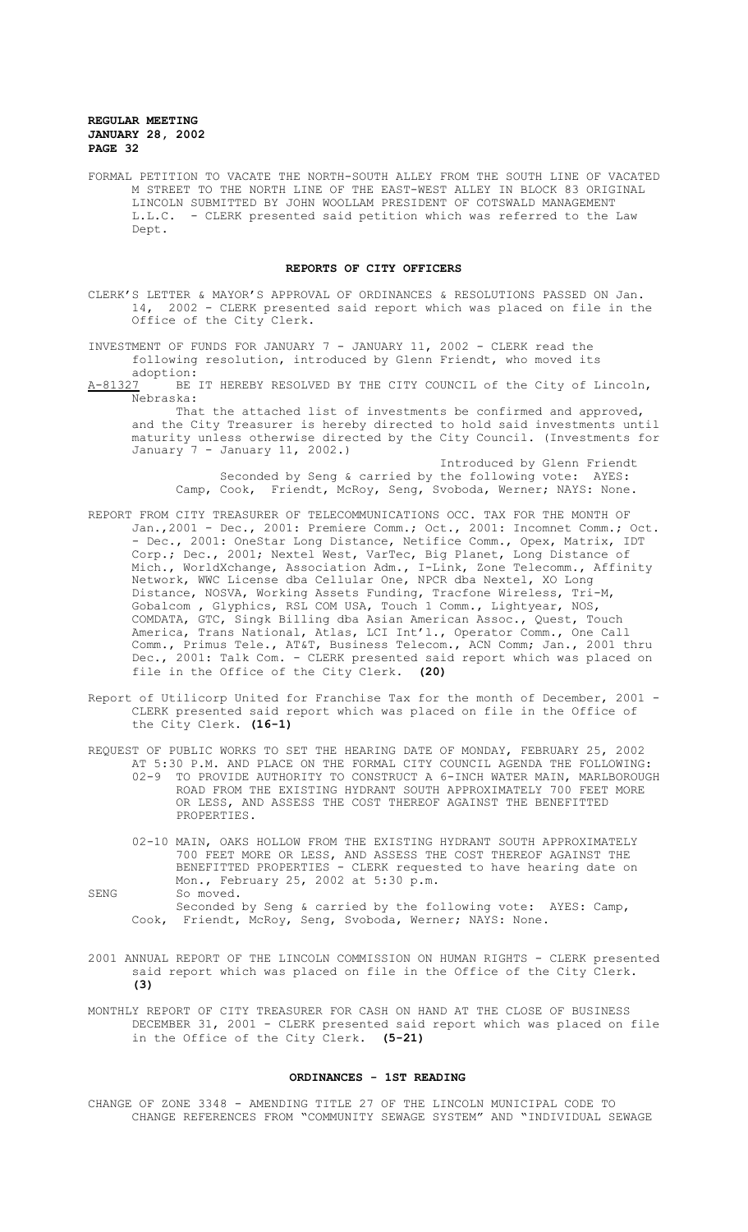FORMAL PETITION TO VACATE THE NORTH-SOUTH ALLEY FROM THE SOUTH LINE OF VACATED M STREET TO THE NORTH LINE OF THE EAST-WEST ALLEY IN BLOCK 83 ORIGINAL LINCOLN SUBMITTED BY JOHN WOOLLAM PRESIDENT OF COTSWALD MANAGEMENT L.L.C. - CLERK presented said petition which was referred to the Law Dept.

## **REPORTS OF CITY OFFICERS**

- CLERK'S LETTER & MAYOR'S APPROVAL OF ORDINANCES & RESOLUTIONS PASSED ON Jan. 14, 2002 - CLERK presented said report which was placed on file in the Office of the City Clerk.
- INVESTMENT OF FUNDS FOR JANUARY 7 JANUARY 11, 2002 CLERK read the following resolution, introduced by Glenn Friendt, who moved its adoption:
- A-81327 BE IT HEREBY RESOLVED BY THE CITY COUNCIL of the City of Lincoln, Nebraska:

That the attached list of investments be confirmed and approved, and the City Treasurer is hereby directed to hold said investments until maturity unless otherwise directed by the City Council. (Investments for January 7 - January 11, 2002.)

Introduced by Glenn Friendt Seconded by Seng & carried by the following vote: AYES: Camp, Cook, Friendt, McRoy, Seng, Svoboda, Werner; NAYS: None.

- REPORT FROM CITY TREASURER OF TELECOMMUNICATIONS OCC. TAX FOR THE MONTH OF Jan.,2001 - Dec., 2001: Premiere Comm.; Oct., 2001: Incomnet Comm.; Oct. - Dec., 2001: OneStar Long Distance, Netifice Comm., Opex, Matrix, IDT Corp.; Dec., 2001; Nextel West, VarTec, Big Planet, Long Distance of Mich., WorldXchange, Association Adm., I-Link, Zone Telecomm., Affinity Network, WWC License dba Cellular One, NPCR dba Nextel, XO Long Distance, NOSVA, Working Assets Funding, Tracfone Wireless, Tri-M, Gobalcom , Glyphics, RSL COM USA, Touch 1 Comm., Lightyear, NOS, COMDATA, GTC, Singk Billing dba Asian American Assoc., Quest, Touch America, Trans National, Atlas, LCI Int'l., Operator Comm., One Call Comm., Primus Tele., AT&T, Business Telecom., ACN Comm; Jan., 2001 thru Dec., 2001: Talk Com. - CLERK presented said report which was placed on file in the Office of the City Clerk. **(20)**
- Report of Utilicorp United for Franchise Tax for the month of December, 2001 CLERK presented said report which was placed on file in the Office of the City Clerk. **(16-1)**
- REQUEST OF PUBLIC WORKS TO SET THE HEARING DATE OF MONDAY, FEBRUARY 25, 2002 AT 5:30 P.M. AND PLACE ON THE FORMAL CITY COUNCIL AGENDA THE FOLLOWING:<br>02-9 TO PROVIDE AUTHORITY TO CONSTRUCT A 6-INCH WATER MAIN, MARLBOROUG TO PROVIDE AUTHORITY TO CONSTRUCT A 6-INCH WATER MAIN, MARLBOROUGH ROAD FROM THE EXISTING HYDRANT SOUTH APPROXIMATELY 700 FEET MORE OR LESS, AND ASSESS THE COST THEREOF AGAINST THE BENEFITTED PROPERTIES.
	- 02-10 MAIN, OAKS HOLLOW FROM THE EXISTING HYDRANT SOUTH APPROXIMATELY 700 FEET MORE OR LESS, AND ASSESS THE COST THEREOF AGAINST THE BENEFITTED PROPERTIES - CLERK requested to have hearing date on Mon., February 25, 2002 at 5:30 p.m.

SENG So moved.

- Seconded by Seng & carried by the following vote: AYES: Camp, Cook, Friendt, McRoy, Seng, Svoboda, Werner; NAYS: None.
- 2001 ANNUAL REPORT OF THE LINCOLN COMMISSION ON HUMAN RIGHTS CLERK presented said report which was placed on file in the Office of the City Clerk. **(3)**

MONTHLY REPORT OF CITY TREASURER FOR CASH ON HAND AT THE CLOSE OF BUSINESS DECEMBER 31, 2001 - CLERK presented said report which was placed on file in the Office of the City Clerk. **(5-21)**

#### **ORDINANCES - 1ST READING**

CHANGE OF ZONE 3348 - AMENDING TITLE 27 OF THE LINCOLN MUNICIPAL CODE TO CHANGE REFERENCES FROM "COMMUNITY SEWAGE SYSTEM" AND "INDIVIDUAL SEWAGE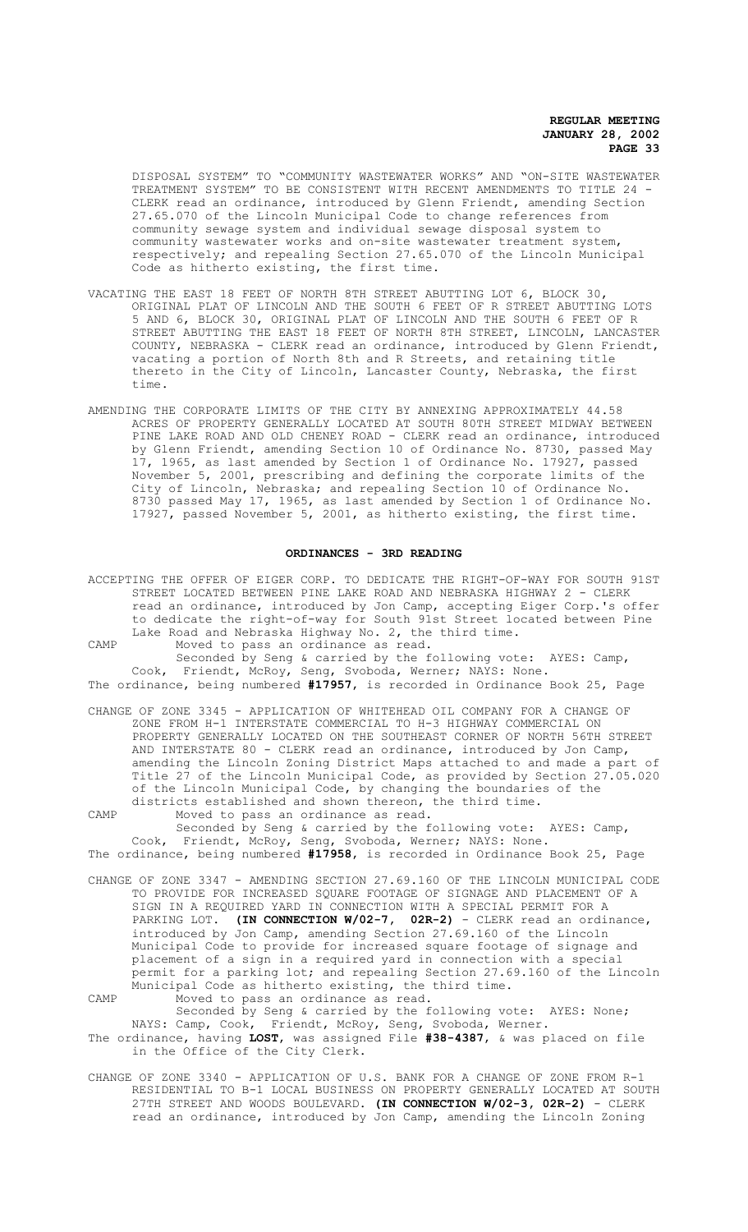DISPOSAL SYSTEM" TO "COMMUNITY WASTEWATER WORKS" AND "ON-SITE WASTEWATER TREATMENT SYSTEM" TO BE CONSISTENT WITH RECENT AMENDMENTS TO TITLE 24 - CLERK read an ordinance, introduced by Glenn Friendt, amending Section 27.65.070 of the Lincoln Municipal Code to change references from community sewage system and individual sewage disposal system to community wastewater works and on-site wastewater treatment system, respectively; and repealing Section 27.65.070 of the Lincoln Municipal Code as hitherto existing, the first time.

- VACATING THE EAST 18 FEET OF NORTH 8TH STREET ABUTTING LOT 6, BLOCK 30, ORIGINAL PLAT OF LINCOLN AND THE SOUTH 6 FEET OF R STREET ABUTTING LOTS 5 AND 6, BLOCK 30, ORIGINAL PLAT OF LINCOLN AND THE SOUTH 6 FEET OF R STREET ABUTTING THE EAST 18 FEET OF NORTH 8TH STREET, LINCOLN, LANCASTER COUNTY, NEBRASKA - CLERK read an ordinance, introduced by Glenn Friendt, vacating a portion of North 8th and R Streets, and retaining title thereto in the City of Lincoln, Lancaster County, Nebraska, the first time.
- AMENDING THE CORPORATE LIMITS OF THE CITY BY ANNEXING APPROXIMATELY 44.58 ACRES OF PROPERTY GENERALLY LOCATED AT SOUTH 80TH STREET MIDWAY BETWEEN PINE LAKE ROAD AND OLD CHENEY ROAD - CLERK read an ordinance, introduced by Glenn Friendt, amending Section 10 of Ordinance No. 8730, passed May 17, 1965, as last amended by Section 1 of Ordinance No. 17927, passed November 5, 2001, prescribing and defining the corporate limits of the City of Lincoln, Nebraska; and repealing Section 10 of Ordinance No. 8730 passed May 17, 1965, as last amended by Section 1 of Ordinance No. 17927, passed November 5, 2001, as hitherto existing, the first time.

#### **ORDINANCES - 3RD READING**

ACCEPTING THE OFFER OF EIGER CORP. TO DEDICATE THE RIGHT-OF-WAY FOR SOUTH 91ST STREET LOCATED BETWEEN PINE LAKE ROAD AND NEBRASKA HIGHWAY 2 - CLERK read an ordinance, introduced by Jon Camp, accepting Eiger Corp.'s offer to dedicate the right-of-way for South 91st Street located between Pine Lake Road and Nebraska Highway No. 2, the third time.

CAMP Moved to pass an ordinance as read.

Seconded by Seng & carried by the following vote: AYES: Camp, Cook, Friendt, McRoy, Seng, Svoboda, Werner; NAYS: None. The ordinance, being numbered **#17957**, is recorded in Ordinance Book 25, Page

CHANGE OF ZONE 3345 - APPLICATION OF WHITEHEAD OIL COMPANY FOR A CHANGE OF ZONE FROM H-1 INTERSTATE COMMERCIAL TO H-3 HIGHWAY COMMERCIAL ON PROPERTY GENERALLY LOCATED ON THE SOUTHEAST CORNER OF NORTH 56TH STREET AND INTERSTATE 80 - CLERK read an ordinance, introduced by Jon Camp, amending the Lincoln Zoning District Maps attached to and made a part of Title 27 of the Lincoln Municipal Code, as provided by Section 27.05.020 of the Lincoln Municipal Code, by changing the boundaries of the districts established and shown thereon, the third time.

CAMP Moved to pass an ordinance as read.

Seconded by Seng & carried by the following vote: AYES: Camp, Cook, Friendt, McRoy, Seng, Svoboda, Werner; NAYS: None. The ordinance, being numbered **#17958**, is recorded in Ordinance Book 25, Page

- CHANGE OF ZONE 3347 AMENDING SECTION 27.69.160 OF THE LINCOLN MUNICIPAL CODE TO PROVIDE FOR INCREASED SQUARE FOOTAGE OF SIGNAGE AND PLACEMENT OF A SIGN IN A REQUIRED YARD IN CONNECTION WITH A SPECIAL PERMIT FOR A PARKING LOT. **(IN CONNECTION W/02-7, 02R-2)** - CLERK read an ordinance,
- introduced by Jon Camp, amending Section 27.69.160 of the Lincoln Municipal Code to provide for increased square footage of signage and placement of a sign in a required yard in connection with a special permit for a parking lot; and repealing Section 27.69.160 of the Lincoln Municipal Code as hitherto existing, the third time. CAMP Moved to pass an ordinance as read.
- Seconded by Seng & carried by the following vote: AYES: None; NAYS: Camp, Cook, Friendt, McRoy, Seng, Svoboda, Werner. The ordinance, having **LOST**, was assigned File **#38-4387**, & was placed on file in the Office of the City Clerk.
- CHANGE OF ZONE 3340 APPLICATION OF U.S. BANK FOR A CHANGE OF ZONE FROM R-1 RESIDENTIAL TO B-1 LOCAL BUSINESS ON PROPERTY GENERALLY LOCATED AT SOUTH 27TH STREET AND WOODS BOULEVARD. **(IN CONNECTION W/02-3, 02R-2)** - CLERK read an ordinance, introduced by Jon Camp, amending the Lincoln Zoning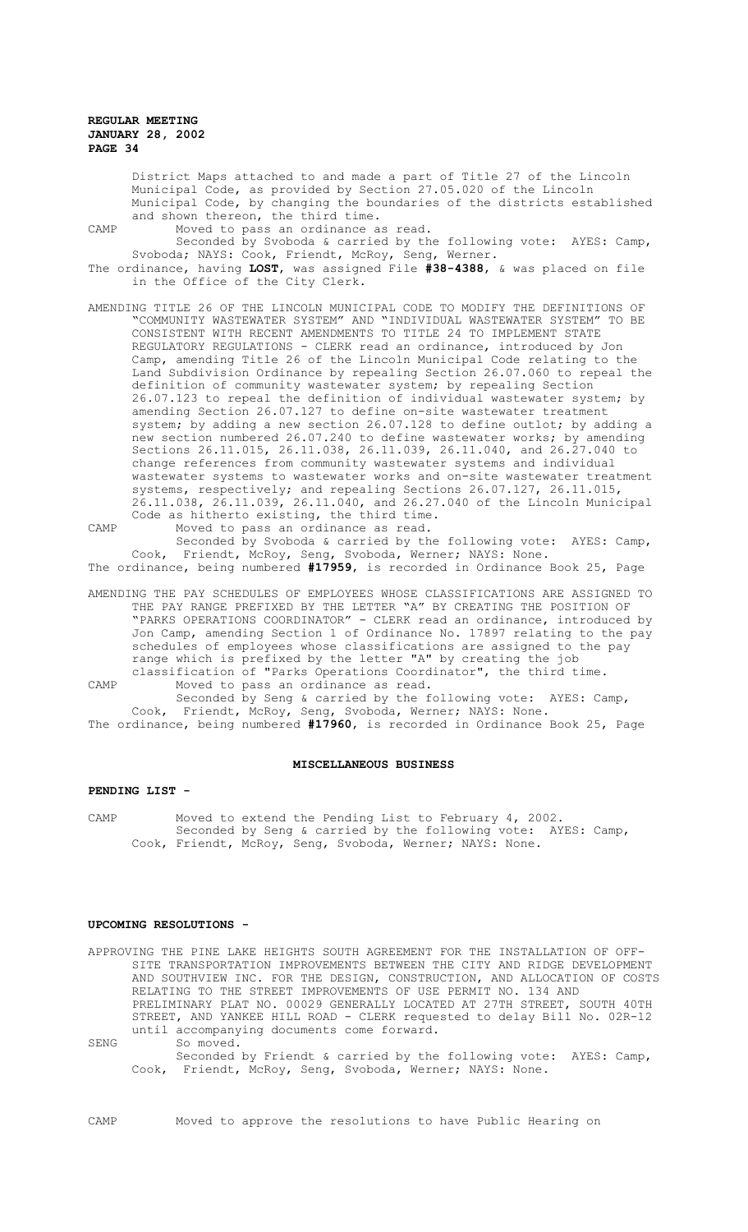District Maps attached to and made a part of Title 27 of the Lincoln Municipal Code, as provided by Section 27.05.020 of the Lincoln Municipal Code, by changing the boundaries of the districts established and shown thereon, the third time.

- CAMP Moved to pass an ordinance as read. Seconded by Svoboda & carried by the following vote: AYES: Camp, Svoboda; NAYS: Cook, Friendt, McRoy, Seng, Werner.
- The ordinance, having **LOST**, was assigned File **#38-4388**, & was placed on file in the Office of the City Clerk.
- AMENDING TITLE 26 OF THE LINCOLN MUNICIPAL CODE TO MODIFY THE DEFINITIONS OF<br>"COMMUNITY WASTEWATER SYSTEM" AND "INDIVIDUAL WASTEWATER SYSTEM" TO BE "COMMUNITY WASTEWATER SYSTEM" AND "INDIVIDUAL WASTEWATER SYSTEM" CONSISTENT WITH RECENT AMENDMENTS TO TITLE 24 TO IMPLEMENT STATE REGULATORY REGULATIONS - CLERK read an ordinance, introduced by Jon Camp, amending Title 26 of the Lincoln Municipal Code relating to the Land Subdivision Ordinance by repealing Section 26.07.060 to repeal the definition of community wastewater system; by repealing Section 26.07.123 to repeal the definition of individual wastewater system; by amending Section 26.07.127 to define on-site wastewater treatment system; by adding a new section 26.07.128 to define outlot; by adding a new section numbered 26.07.240 to define wastewater works; by amending Sections 26.11.015, 26.11.038, 26.11.039, 26.11.040, and 26.27.040 to change references from community wastewater systems and individual wastewater systems to wastewater works and on-site wastewater treatment systems, respectively; and repealing Sections 26.07.127, 26.11.015, 26.11.038, 26.11.039, 26.11.040, and 26.27.040 of the Lincoln Municipal Code as hitherto existing, the third time. CAMP Moved to pass an ordinance as read.

Seconded by Svoboda & carried by the following vote: AYES: Camp, Cook, Friendt, McRoy, Seng, Svoboda, Werner; NAYS: None. The ordinance, being numbered **#17959**, is recorded in Ordinance Book 25, Page

AMENDING THE PAY SCHEDULES OF EMPLOYEES WHOSE CLASSIFICATIONS ARE ASSIGNED TO THE PAY RANGE PREFIXED BY THE LETTER "A" BY CREATING THE POSITION OF "PARKS OPERATIONS COORDINATOR" - CLERK read an ordinance, introduced by Jon Camp, amending Section 1 of Ordinance No. 17897 relating to the pay schedules of employees whose classifications are assigned to the pay range which is prefixed by the letter "A" by creating the job classification of "Parks Operations Coordinator", the third time.

CAMP Moved to pass an ordinance as read.

Seconded by Seng & carried by the following vote: AYES: Camp, Cook, Friendt, McRoy, Seng, Svoboda, Werner; NAYS: None. The ordinance, being numbered **#17960**, is recorded in Ordinance Book 25, Page

#### **MISCELLANEOUS BUSINESS**

#### **PENDING LIST -**

CAMP Moved to extend the Pending List to February 4, 2002. Seconded by Seng & carried by the following vote: AYES: Camp, Cook, Friendt, McRoy, Seng, Svoboda, Werner; NAYS: None.

## **UPCOMING RESOLUTIONS -**

APPROVING THE PINE LAKE HEIGHTS SOUTH AGREEMENT FOR THE INSTALLATION OF OFF-SITE TRANSPORTATION IMPROVEMENTS BETWEEN THE CITY AND RIDGE DEVELOPMENT AND SOUTHVIEW INC. FOR THE DESIGN, CONSTRUCTION, AND ALLOCATION OF COSTS RELATING TO THE STREET IMPROVEMENTS OF USE PERMIT NO. 134 AND PRELIMINARY PLAT NO. 00029 GENERALLY LOCATED AT 27TH STREET, SOUTH 40TH STREET, AND YANKEE HILL ROAD - CLERK requested to delay Bill No. 02R-12 until accompanying documents come forward. SENG So moved. Seconded by Friendt & carried by the following vote: AYES: Camp,

Cook, Friendt, McRoy, Seng, Svoboda, Werner; NAYS: None.